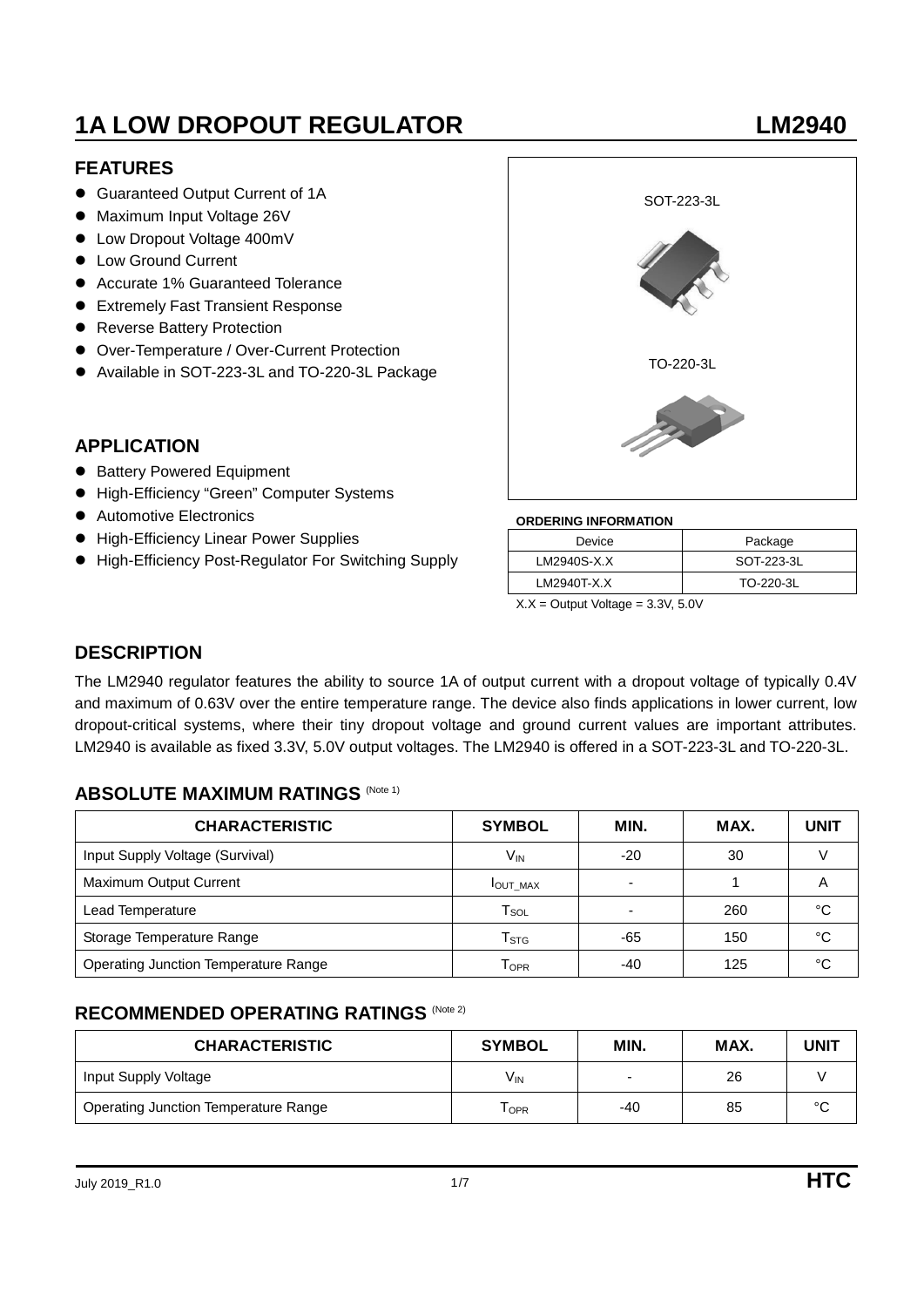# **1A LOW DROPOUT REGULATOR LOW LOW LOW LOW REGULATOR**

### **FEATURES**

- Guaranteed Output Current of 1A
- Maximum Input Voltage 26V
- Low Dropout Voltage 400mV
- Low Ground Current
- Accurate 1% Guaranteed Tolerance
- **Extremely Fast Transient Response**
- **•** Reverse Battery Protection
- Over-Temperature / Over-Current Protection
- Available in SOT-223-3L and TO-220-3L Package

### **APPLICATION**

- **Battery Powered Equipment**
- High-Efficiency "Green" Computer Systems
- Automotive Electronics
- High-Efficiency Linear Power Supplies
- High-Efficiency Post-Regulator For Switching Supply



#### **ORDERING INFORMATION**

| Device      | Package    |
|-------------|------------|
| LM2940S-X.X | SOT-223-3L |
| LM2940T-X.X | TO-220-3L  |
| $\cdots$    |            |

 $X.X =$  Output Voltage =  $3.3V$ ,  $5.0V$ 

#### **DESCRIPTION**

The LM2940 regulator features the ability to source 1A of output current with a dropout voltage of typically 0.4V and maximum of 0.63V over the entire temperature range. The device also finds applications in lower current, low dropout-critical systems, where their tiny dropout voltage and ground current values are important attributes. LM2940 is available as fixed 3.3V, 5.0V output voltages. The LM2940 is offered in a SOT-223-3L and TO-220-3L.

### **ABSOLUTE MAXIMUM RATINGS (Note 1)**

| <b>CHARACTERISTIC</b>                       | <b>SYMBOL</b>               | MIN.  | MAX. | <b>UNIT</b> |
|---------------------------------------------|-----------------------------|-------|------|-------------|
| Input Supply Voltage (Survival)             | Vın                         | $-20$ | 30   |             |
| Maximum Output Current                      | <b>IOUT MAX</b>             | -     |      | A           |
| Lead Temperature                            | $\mathsf{T}_{\mathsf{SOL}}$ | -     | 260  | °C          |
| Storage Temperature Range                   | $\mathsf{T}_{\text{STG}}$   | -65   | 150  | °C          |
| <b>Operating Junction Temperature Range</b> | Topr                        | -40   | 125  | °C          |

### **RECOMMENDED OPERATING RATINGS (Note 2)**

| <b>CHARACTERISTIC</b>                       | <b>SYMBOL</b>   | MIN.  | MAX. | <b>UNIT</b> |
|---------------------------------------------|-----------------|-------|------|-------------|
| Input Supply Voltage                        | V <sub>IN</sub> | -     | 26   |             |
| <b>Operating Junction Temperature Range</b> | Topr            | $-40$ | 85   | °C          |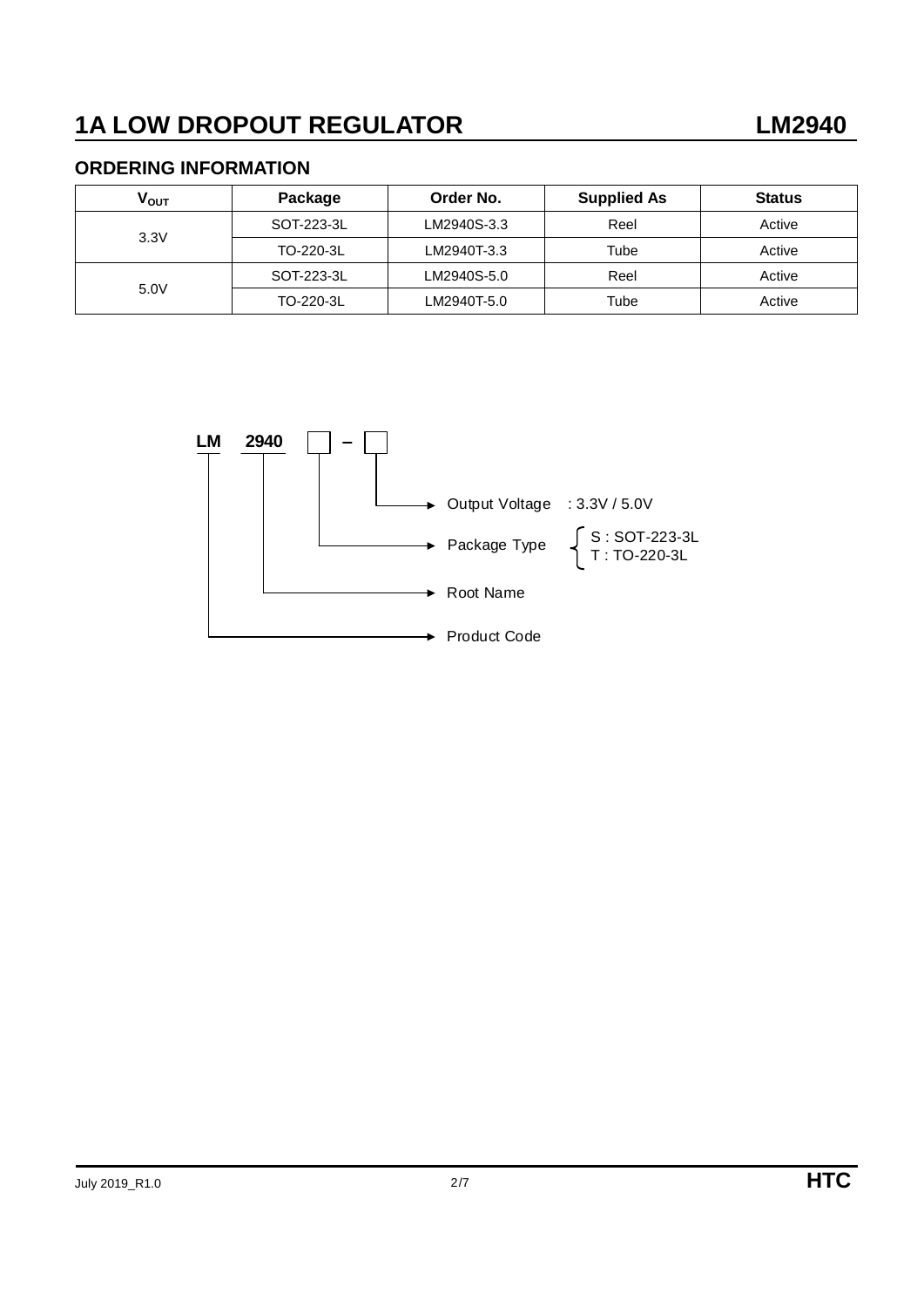### **ORDERING INFORMATION**

| V <sub>ουτ</sub> | Package    | Order No.   | <b>Supplied As</b> | <b>Status</b> |
|------------------|------------|-------------|--------------------|---------------|
|                  | SOT-223-3L | LM2940S-3.3 | Reel               | Active        |
| 3.3V             | TO-220-3L  | LM2940T-3.3 | Tube               | Active        |
|                  | SOT-223-3L | LM2940S-5.0 | Reel               | Active        |
| 5.0V             | TO-220-3L  | LM2940T-5.0 | Tube               | Active        |

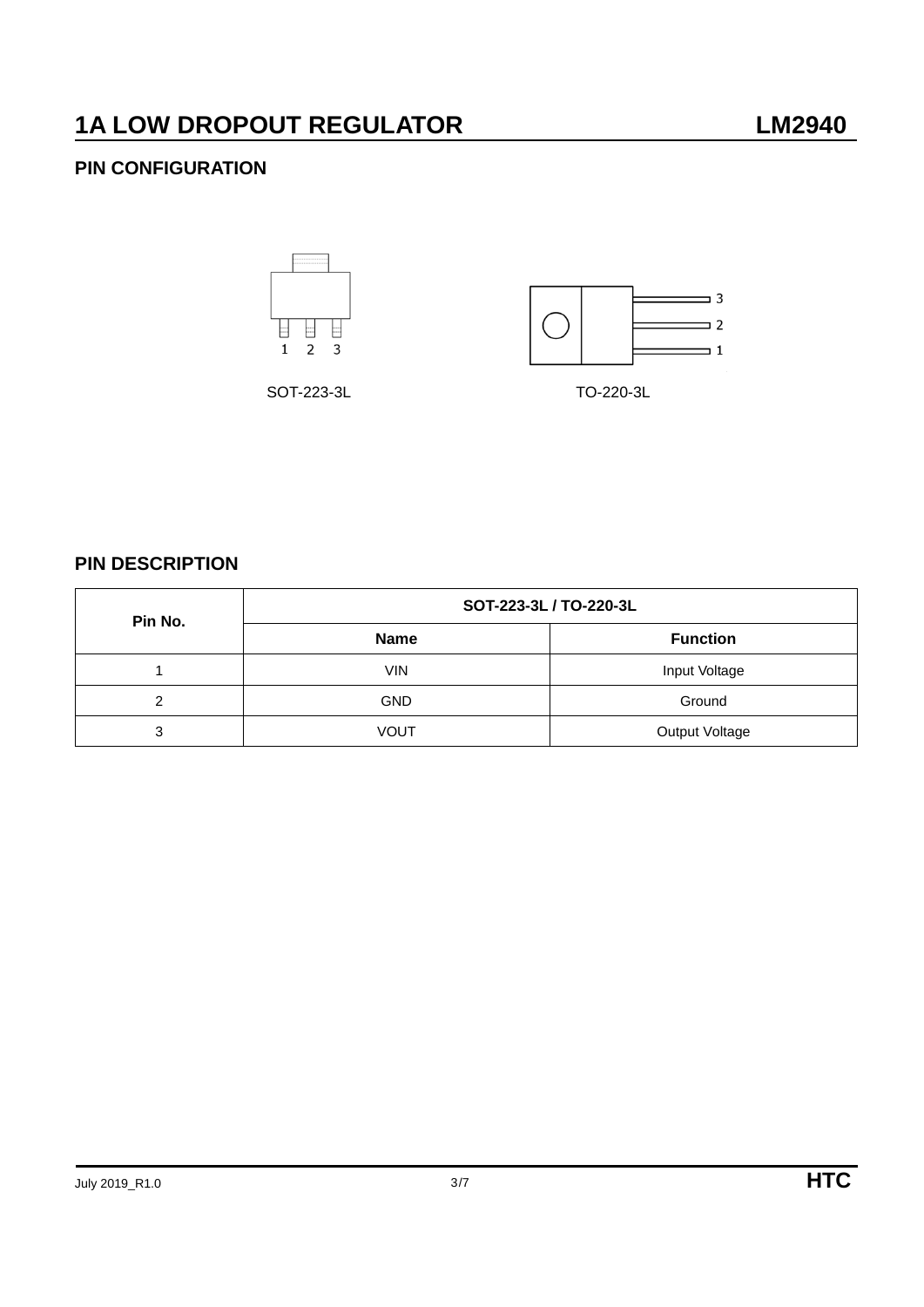### **PIN CONFIGURATION**





SOT-223-3L TO-220-3L

**PIN DESCRIPTION**

| Pin No. | SOT-223-3L / TO-220-3L |                       |  |  |
|---------|------------------------|-----------------------|--|--|
|         | <b>Name</b>            | <b>Function</b>       |  |  |
|         | <b>VIN</b>             | Input Voltage         |  |  |
| ົ       | <b>GND</b>             | Ground                |  |  |
| 3       | <b>VOUT</b>            | <b>Output Voltage</b> |  |  |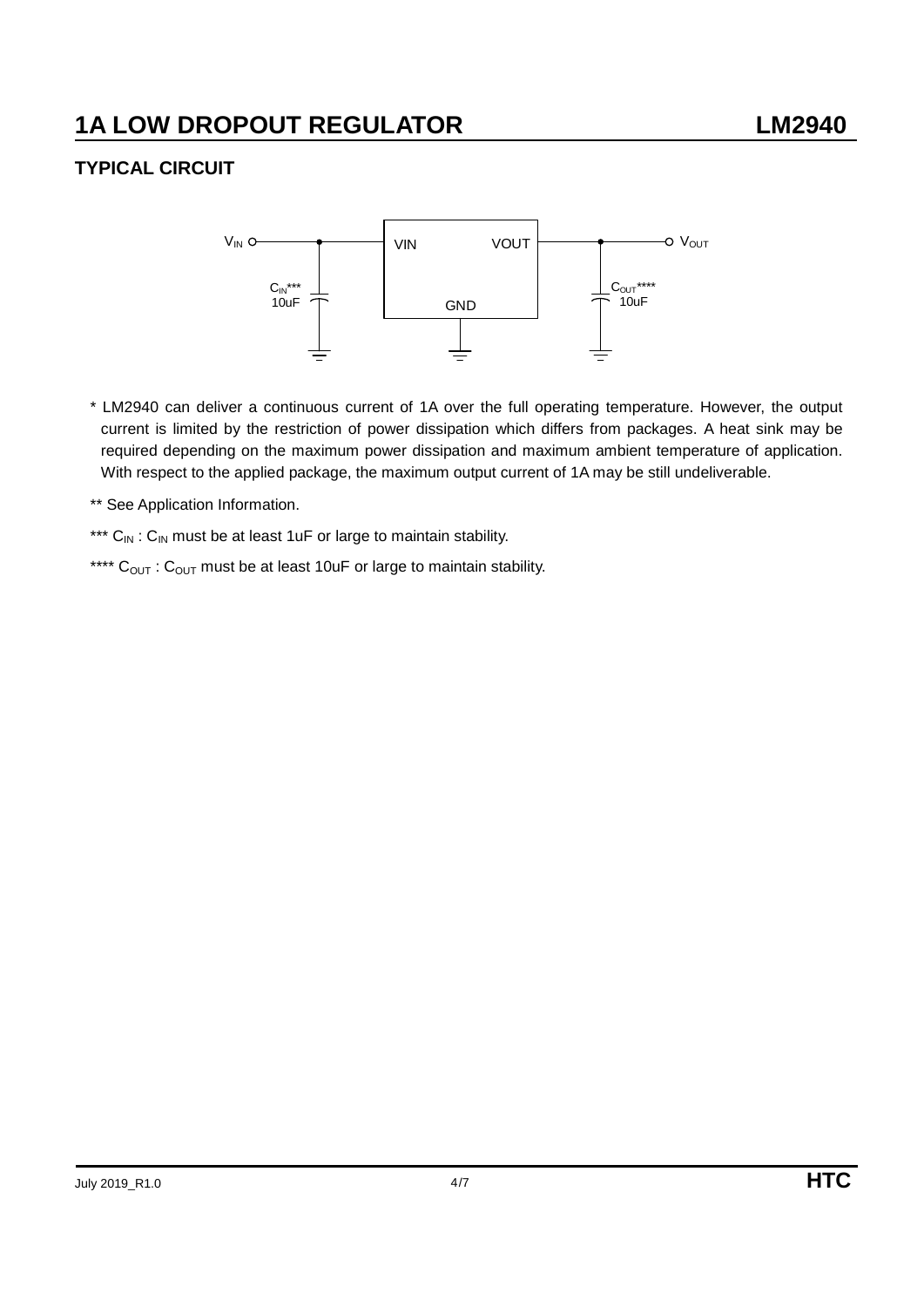### **TYPICAL CIRCUIT**



- \* LM2940 can deliver a continuous current of 1A over the full operating temperature. However, the output current is limited by the restriction of power dissipation which differs from packages. A heat sink may be required depending on the maximum power dissipation and maximum ambient temperature of application. With respect to the applied package, the maximum output current of 1A may be still undeliverable.
- \*\* See Application Information.
- \*\*\*  $C_{IN}$ :  $C_{IN}$  must be at least 1uF or large to maintain stability.
- \*\*\*\*  $C_{\text{OUT}}$  :  $C_{\text{OUT}}$  must be at least 10uF or large to maintain stability.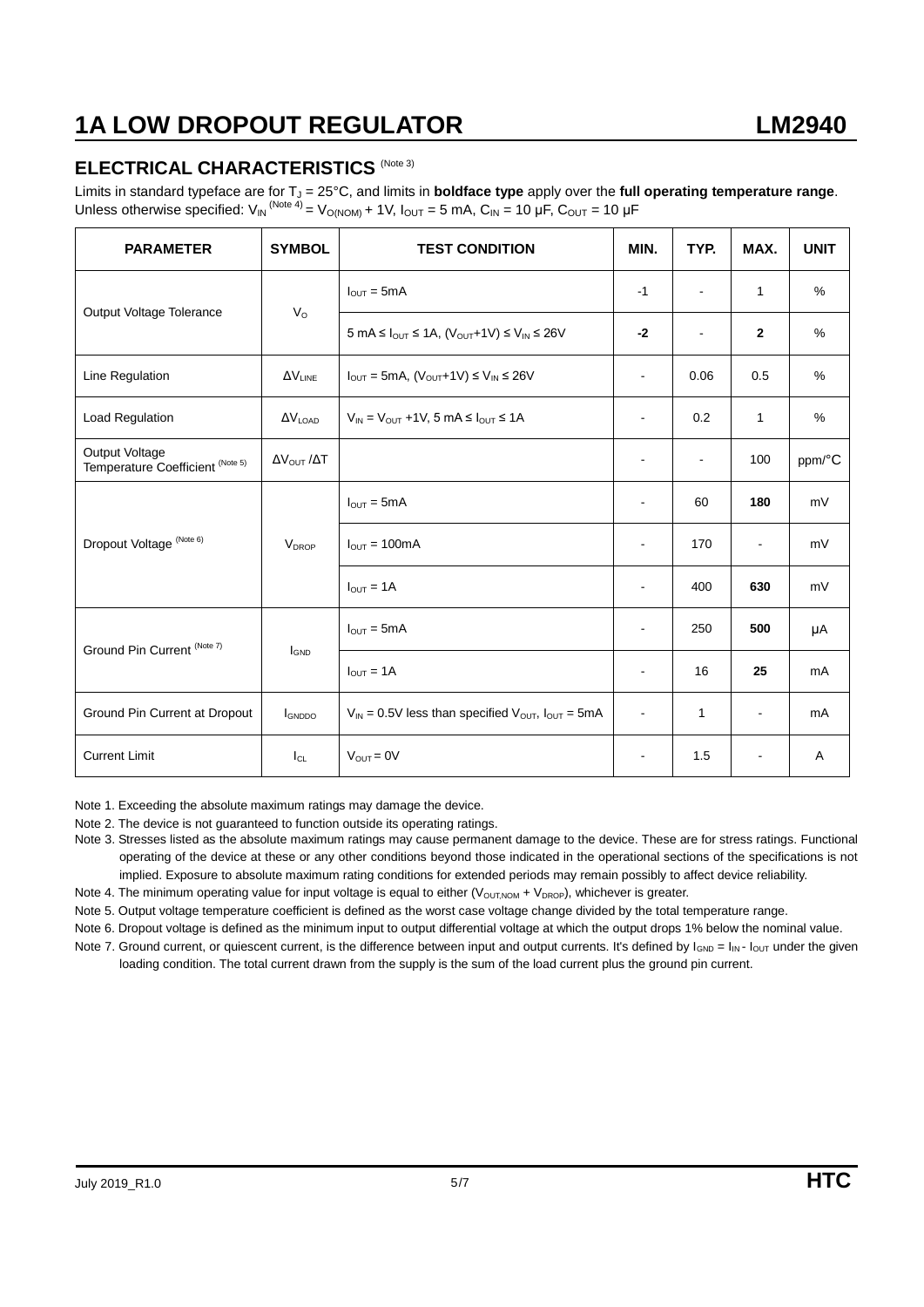### **ELECTRICAL CHARACTERISTICS (Note 3)**

Limits in standard typeface are for T<sub>J</sub> = 25°C, and limits in **boldface type** apply over the full operating temperature range. Unless otherwise specified:  $V_{IN}^{(Note 4)} = V_{O(NOM)} + 1V$ ,  $I_{OUT} = 5$  mA,  $C_{IN} = 10 \mu F$ ,  $C_{OUT} = 10 \mu F$ 

| <b>PARAMETER</b>                                   | <b>SYMBOL</b>                    | <b>TEST CONDITION</b>                                                                                                     | MIN.                     | TYP.           | MAX.           | <b>UNIT</b> |
|----------------------------------------------------|----------------------------------|---------------------------------------------------------------------------------------------------------------------------|--------------------------|----------------|----------------|-------------|
|                                                    |                                  | $I_{\text{OUT}} = 5 \text{mA}$                                                                                            | $-1$                     | $\blacksquare$ | $\mathbf{1}$   | $\%$        |
| Output Voltage Tolerance                           | $V_{\rm O}$                      | $5 \text{ mA} \leq I_{\text{OUT}} \leq 1 \text{ A}$ , $(V_{\text{OUT}}+1 \text{ V}) \leq V_{\text{IN}} \leq 26 \text{ V}$ | $-2$                     | $\blacksquare$ | $\mathbf{2}$   | %           |
| Line Regulation                                    | $\Delta V_{LINE}$                | $I_{\text{OUT}} = 5 \text{mA}, (V_{\text{OUT}} + 1 \text{V}) \leq V_{\text{IN}} \leq 26 \text{V}$                         | $\overline{\phantom{a}}$ | 0.06           | 0.5            | %           |
| Load Regulation                                    | $\Delta V_{\text{LOAD}}$         | $V_{IN} = V_{OUT} + 1V$ , 5 mA $\leq I_{OUT} \leq 1A$                                                                     |                          | 0.2            | $\mathbf{1}$   | %           |
| Output Voltage<br>Temperature Coefficient (Note 5) | $\Delta V_{\text{OUT}}/\Delta T$ |                                                                                                                           |                          | $\blacksquare$ | 100            | ppm/°C      |
| Dropout Voltage (Note 6)                           | <b>V<sub>DROP</sub></b>          | $I_{\text{OUT}} = 5 \text{mA}$                                                                                            | $\mathbf{r}$             | 60             | 180            | mV          |
|                                                    |                                  | $I_{\text{OUT}} = 100 \text{mA}$                                                                                          | $\sim$                   | 170            | $\blacksquare$ | mV          |
|                                                    |                                  | $I_{\text{OUT}} = 1A$                                                                                                     |                          | 400            | 630            | mV          |
|                                                    |                                  | $I_{\text{OUT}} = 5 \text{mA}$                                                                                            |                          | 250            | 500            | μA          |
| Ground Pin Current (Note 7)                        | <b>I</b> GND                     | $I_{OUT} = 1A$                                                                                                            | $\overline{\phantom{a}}$ | 16             | 25             | mA          |
| Ground Pin Current at Dropout                      | GNDDO                            | $V_{IN}$ = 0.5V less than specified $V_{OUT}$ , $I_{OUT}$ = 5mA                                                           | $\blacksquare$           | 1              | $\blacksquare$ | mA          |
| <b>Current Limit</b>                               | $I_{CL}$                         | $V_{OUT} = 0V$                                                                                                            | $\blacksquare$           | 1.5            | $\blacksquare$ | Α           |

Note 1. Exceeding the absolute maximum ratings may damage the device.

Note 2. The device is not guaranteed to function outside its operating ratings.

Note 3. Stresses listed as the absolute maximum ratings may cause permanent damage to the device. These are for stress ratings. Functional operating of the device at these or any other conditions beyond those indicated in the operational sections of the specifications is not implied. Exposure to absolute maximum rating conditions for extended periods may remain possibly to affect device reliability.

Note 4. The minimum operating value for input voltage is equal to either  $(V_{\text{OUTNOM}} + V_{\text{DROP}})$ , whichever is greater.

Note 5. Output voltage temperature coefficient is defined as the worst case voltage change divided by the total temperature range.

Note 6. Dropout voltage is defined as the minimum input to output differential voltage at which the output drops 1% below the nominal value.

Note 7. Ground current, or quiescent current, is the difference between input and output currents. It's defined by  $I_{GND} = I_{IN} - I_{OUT}$  under the given loading condition. The total current drawn from the supply is the sum of the load current plus the ground pin current.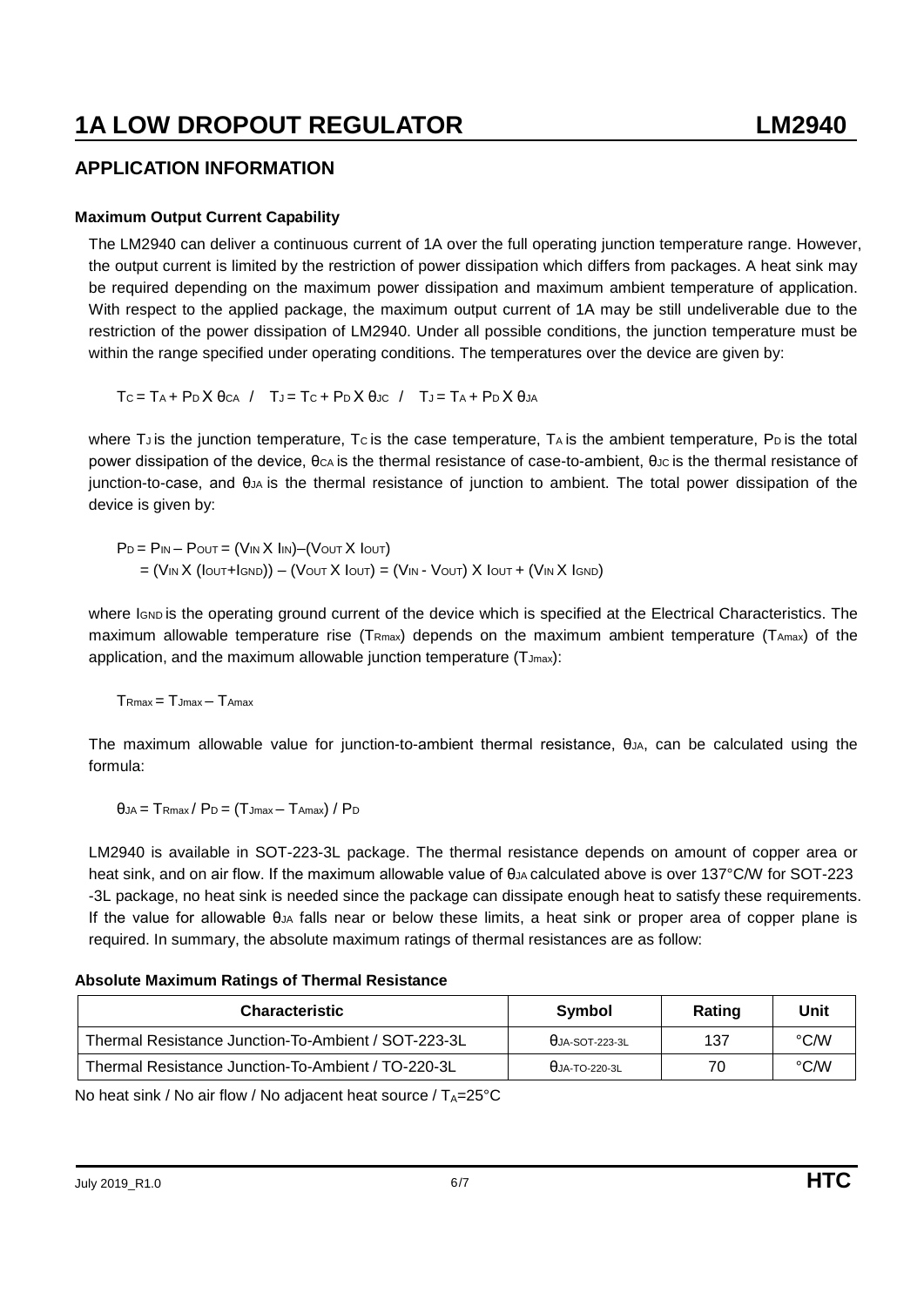### **1A LOW DROPOUT REGULATOR LM2940**

#### **APPLICATION INFORMATION**

#### **Maximum Output Current Capability**

The LM2940 can deliver a continuous current of 1A over the full operating junction temperature range. However, the output current is limited by the restriction of power dissipation which differs from packages. A heat sink may be required depending on the maximum power dissipation and maximum ambient temperature of application. With respect to the applied package, the maximum output current of 1A may be still undeliverable due to the restriction of the power dissipation of LM2940. Under all possible conditions, the junction temperature must be within the range specified under operating conditions. The temperatures over the device are given by:

 $T_c = T_A + P_D X \theta_{CA} / T_J = T_C + P_D X \theta_{JC} / T_J = T_A + P_D X \theta_{JA}$ 

where T<sub>J</sub> is the junction temperature, T<sub>C</sub> is the case temperature, T<sub>A</sub> is the ambient temperature, P<sub>D</sub> is the total power dissipation of the device, θc<sub>A</sub> is the thermal resistance of case-to-ambient, θ<sub>JC</sub> is the thermal resistance of junction-to-case, and θJA is the thermal resistance of junction to ambient. The total power dissipation of the device is given by:

 $P_D = P_{IN} - P_{OUT} = (V_{IN} X \ln V) - (V_{OUT} X \ln V)$  $=$  (V<sub>IN</sub> X (Iout+Ignd)) – (Vout X Iout) = (V<sub>IN</sub> - Vout) X Iout + (V<sub>IN</sub> X Ignd)

where IGND is the operating ground current of the device which is specified at the Electrical Characteristics. The maximum allowable temperature rise (TRmax) depends on the maximum ambient temperature (TAmax) of the application, and the maximum allowable junction temperature  $(T_{Jmax})$ :

 $T_{\text{Rmax}} = T_{\text{Jmax}} - T_{\text{Amax}}$ 

The maximum allowable value for junction-to-ambient thermal resistance, θυλ, can be calculated using the formula:

 $\theta$ JA =  $T$ Rmax /  $P_D = (T$ Jmax -  $T$ Amax $)$  /  $P_D$ 

LM2940 is available in SOT-223-3L package. The thermal resistance depends on amount of copper area or heat sink, and on air flow. If the maximum allowable value of θ<sub>JA</sub> calculated above is over 137°C/W for SOT-223 -3L package, no heat sink is needed since the package can dissipate enough heat to satisfy these requirements. If the value for allowable θJA falls near or below these limits, a heat sink or proper area of copper plane is required. In summary, the absolute maximum ratings of thermal resistances are as follow:

#### **Absolute Maximum Ratings of Thermal Resistance**

| <b>Characteristic</b>                               | Symbol                 | Rating | Unit |
|-----------------------------------------------------|------------------------|--------|------|
| Thermal Resistance Junction-To-Ambient / SOT-223-3L | $\theta$ JA-SOT-223-3L | 137    | °C/W |
| Thermal Resistance Junction-To-Ambient / TO-220-3L  | $\theta$ JA-TO-220-3L  | 70     | °C/W |

No heat sink / No air flow / No adjacent heat source /  $T_A=25^{\circ}C$